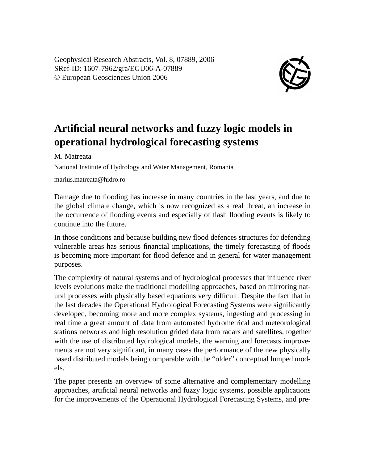Geophysical Research Abstracts, Vol. 8, 07889, 2006 SRef-ID: 1607-7962/gra/EGU06-A-07889 © European Geosciences Union 2006



## **Artificial neural networks and fuzzy logic models in operational hydrological forecasting systems**

M. Matreata

National Institute of Hydrology and Water Management, Romania

marius.matreata@hidro.ro

Damage due to flooding has increase in many countries in the last years, and due to the global climate change, which is now recognized as a real threat, an increase in the occurrence of flooding events and especially of flash flooding events is likely to continue into the future.

In those conditions and because building new flood defences structures for defending vulnerable areas has serious financial implications, the timely forecasting of floods is becoming more important for flood defence and in general for water management purposes.

The complexity of natural systems and of hydrological processes that influence river levels evolutions make the traditional modelling approaches, based on mirroring natural processes with physically based equations very difficult. Despite the fact that in the last decades the Operational Hydrological Forecasting Systems were significantly developed, becoming more and more complex systems, ingesting and processing in real time a great amount of data from automated hydrometrical and meteorological stations networks and high resolution grided data from radars and satellites, together with the use of distributed hydrological models, the warning and forecasts improvements are not very significant, in many cases the performance of the new physically based distributed models being comparable with the "older" conceptual lumped models.

The paper presents an overview of some alternative and complementary modelling approaches, artificial neural networks and fuzzy logic systems, possible applications for the improvements of the Operational Hydrological Forecasting Systems, and pre